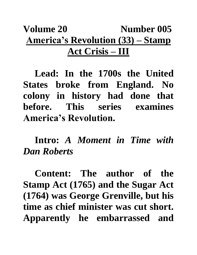## **Volume 20 Number 005 America's Revolution (33) – Stamp Act Crisis – III**

**Lead: In the 1700s the United States broke from England. No colony in history had done that before. This series examines America's Revolution.**

**Intro:** *A Moment in Time with Dan Roberts*

**Content: The author of the Stamp Act (1765) and the Sugar Act (1764) was George Grenville, but his time as chief minister was cut short. Apparently he embarrassed and**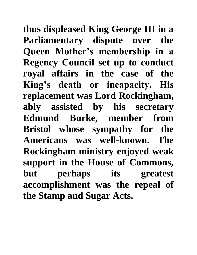**thus displeased King George III in a Parliamentary dispute over the Queen Mother's membership in a Regency Council set up to conduct royal affairs in the case of the King's death or incapacity. His replacement was Lord Rockingham, ably assisted by his secretary Edmund Burke, member from Bristol whose sympathy for the Americans was well-known. The Rockingham ministry enjoyed weak support in the House of Commons, but perhaps its greatest accomplishment was the repeal of the Stamp and Sugar Acts.**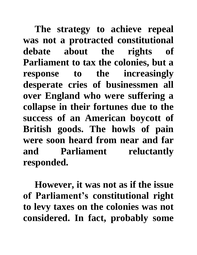**The strategy to achieve repeal was not a protracted constitutional debate about the rights of Parliament to tax the colonies, but a response to the increasingly desperate cries of businessmen all over England who were suffering a collapse in their fortunes due to the success of an American boycott of British goods. The howls of pain were soon heard from near and far and Parliament reluctantly responded.**

**However, it was not as if the issue of Parliament's constitutional right to levy taxes on the colonies was not considered. In fact, probably some**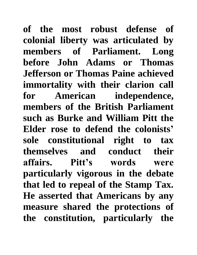**of the most robust defense of colonial liberty was articulated by members of Parliament. Long before John Adams or Thomas Jefferson or Thomas Paine achieved immortality with their clarion call for American independence, members of the British Parliament such as Burke and William Pitt the Elder rose to defend the colonists' sole constitutional right to tax themselves and conduct their affairs. Pitt's words were particularly vigorous in the debate that led to repeal of the Stamp Tax. He asserted that Americans by any measure shared the protections of the constitution, particularly the**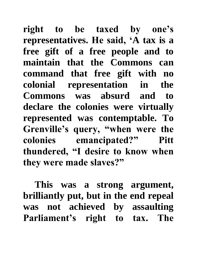**right to be taxed by one's representatives. He said, 'A tax is a free gift of a free people and to maintain that the Commons can command that free gift with no colonial representation in the Commons was absurd and to declare the colonies were virtually represented was contemptable. To Grenville's query, "when were the colonies emancipated?" Pitt thundered, "I desire to know when they were made slaves?"**

**This was a strong argument, brilliantly put, but in the end repeal was not achieved by assaulting Parliament's right to tax. The**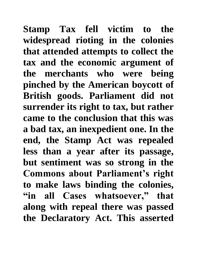**Stamp Tax fell victim to the widespread rioting in the colonies that attended attempts to collect the tax and the economic argument of the merchants who were being pinched by the American boycott of British goods. Parliament did not surrender its right to tax, but rather came to the conclusion that this was a bad tax, an inexpedient one. In the end, the Stamp Act was repealed less than a year after its passage, but sentiment was so strong in the Commons about Parliament's right to make laws binding the colonies, "in all Cases whatsoever," that along with repeal there was passed the Declaratory Act. This asserted**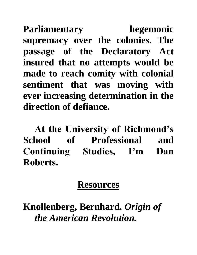**Parliamentary hegemonic supremacy over the colonies. The passage of the Declaratory Act insured that no attempts would be made to reach comity with colonial sentiment that was moving with ever increasing determination in the direction of defiance.**

**At the University of Richmond's School of Professional and Continuing Studies, I'm Dan Roberts.**

## **Resources**

**Knollenberg, Bernhard.** *Origin of the American Revolution.*